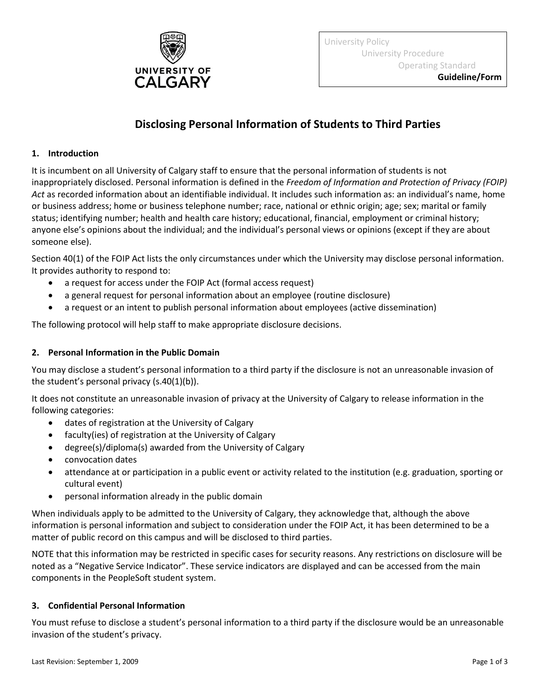

University Policy University Procedure Operating Standard

# **Disclosing Personal Information of Students to Third Parties**

#### **1. Introduction**

It is incumbent on all University of Calgary staff to ensure that the personal information of students is not inappropriately disclosed. Personal information is defined in the *Freedom of Information and Protection of Privacy (FOIP) Act* as recorded information about an identifiable individual. It includes such information as: an individual's name, home or business address; home or business telephone number; race, national or ethnic origin; age; sex; marital or family status; identifying number; health and health care history; educational, financial, employment or criminal history; anyone else's opinions about the individual; and the individual's personal views or opinions (except if they are about someone else).

Section 40(1) of the FOIP Act lists the only circumstances under which the University may disclose personal information. It provides authority to respond to:

- a request for access under the FOIP Act (formal access request)
- a general request for personal information about an employee (routine disclosure)
- a request or an intent to publish personal information about employees (active dissemination)

The following protocol will help staff to make appropriate disclosure decisions.

#### **2. Personal Information in the Public Domain**

You may disclose a student's personal information to a third party if the disclosure is not an unreasonable invasion of the student's personal privacy (s.40(1)(b)).

It does not constitute an unreasonable invasion of privacy at the University of Calgary to release information in the following categories:

- dates of registration at the University of Calgary
- faculty(ies) of registration at the University of Calgary
- degree(s)/diploma(s) awarded from the University of Calgary
- convocation dates
- attendance at or participation in a public event or activity related to the institution (e.g. graduation, sporting or cultural event)
- personal information already in the public domain

When individuals apply to be admitted to the University of Calgary, they acknowledge that, although the above information is personal information and subject to consideration under the FOIP Act, it has been determined to be a matter of public record on this campus and will be disclosed to third parties.

NOTE that this information may be restricted in specific cases for security reasons. Any restrictions on disclosure will be noted as a "Negative Service Indicator". These service indicators are displayed and can be accessed from the main components in the PeopleSoft student system.

## **3. Confidential Personal Information**

You must refuse to disclose a student's personal information to a third party if the disclosure would be an unreasonable invasion of the student's privacy.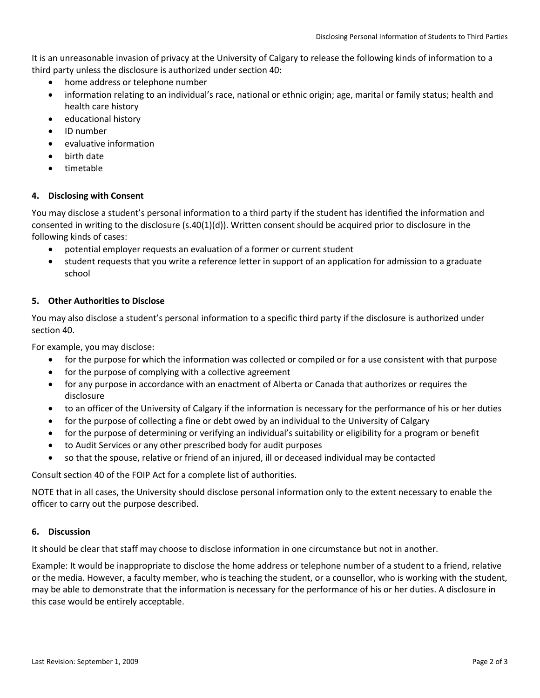It is an unreasonable invasion of privacy at the University of Calgary to release the following kinds of information to a third party unless the disclosure is authorized under section 40:

- home address or telephone number
- information relating to an individual's race, national or ethnic origin; age, marital or family status; health and health care history
- educational history
- ID number
- evaluative information
- birth date
- timetable

## **4. Disclosing with Consent**

You may disclose a student's personal information to a third party if the student has identified the information and consented in writing to the disclosure (s.40(1)(d)). Written consent should be acquired prior to disclosure in the following kinds of cases:

- potential employer requests an evaluation of a former or current student
- student requests that you write a reference letter in support of an application for admission to a graduate school

## **5. Other Authorities to Disclose**

You may also disclose a student's personal information to a specific third party if the disclosure is authorized under section 40.

For example, you may disclose:

- for the purpose for which the information was collected or compiled or for a use consistent with that purpose
- for the purpose of complying with a collective agreement
- for any purpose in accordance with an enactment of Alberta or Canada that authorizes or requires the disclosure
- to an officer of the University of Calgary if the information is necessary for the performance of his or her duties
- for the purpose of collecting a fine or debt owed by an individual to the University of Calgary
- for the purpose of determining or verifying an individual's suitability or eligibility for a program or benefit
- to Audit Services or any other prescribed body for audit purposes
- so that the spouse, relative or friend of an injured, ill or deceased individual may be contacted

Consult section 40 of the FOIP Act for a complete list of authorities.

NOTE that in all cases, the University should disclose personal information only to the extent necessary to enable the officer to carry out the purpose described.

## **6. Discussion**

It should be clear that staff may choose to disclose information in one circumstance but not in another.

Example: It would be inappropriate to disclose the home address or telephone number of a student to a friend, relative or the media. However, a faculty member, who is teaching the student, or a counsellor, who is working with the student, may be able to demonstrate that the information is necessary for the performance of his or her duties. A disclosure in this case would be entirely acceptable.